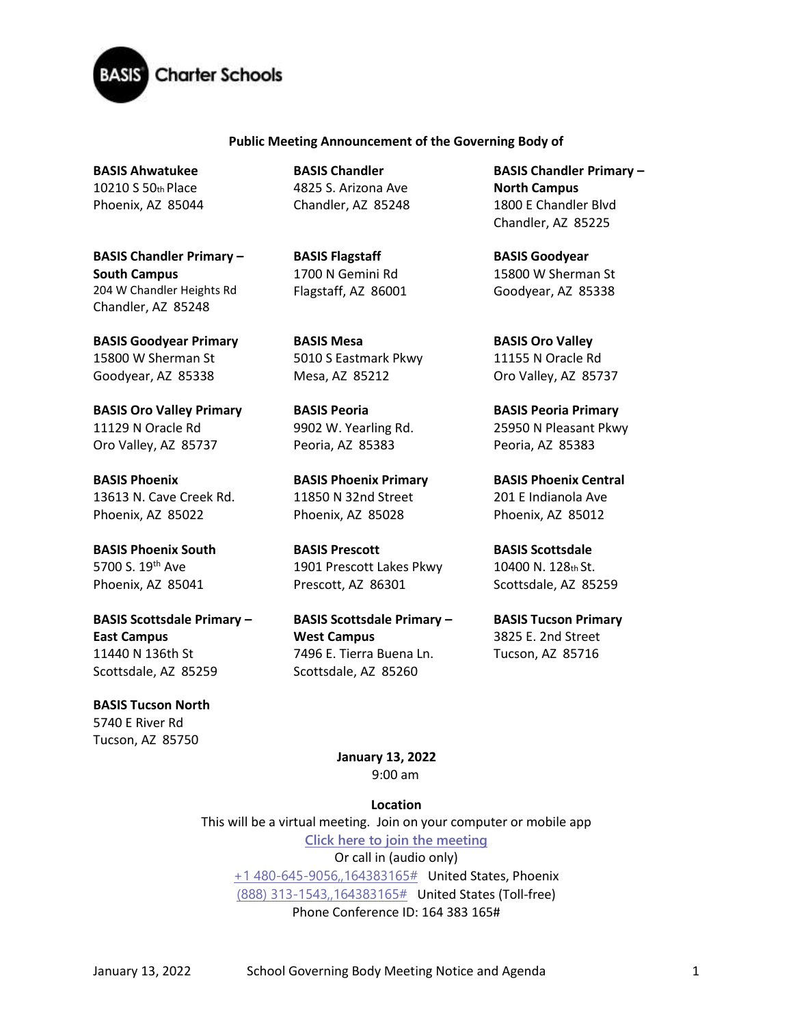

## **Public Meeting Announcement of the Governing Body of**

**BASIS Ahwatukee**  10210 S 50th Place Phoenix, AZ 85044

**BASIS Chandler Primary – South Campus**  204 W Chandler Heights Rd Chandler, AZ 85248

**BASIS Goodyear Primary**  15800 W Sherman St Goodyear, AZ 85338

**BASIS Oro Valley Primary**  11129 N Oracle Rd Oro Valley, AZ 85737

**BASIS Phoenix**  13613 N. Cave Creek Rd. Phoenix, AZ 85022

**BASIS Phoenix South**  5700 S. 19<sup>th</sup> Ave Phoenix, AZ 85041

**BASIS Scottsdale Primary – East Campus** 11440 N 136th St Scottsdale, AZ 85259

**BASIS Tucson North**  5740 E River Rd Tucson, AZ 85750

**BASIS Chandler**  4825 S. Arizona Ave Chandler, AZ 85248

**BASIS Flagstaff**  1700 N Gemini Rd Flagstaff, AZ 86001

**BASIS Mesa**  5010 S Eastmark Pkwy Mesa, AZ 85212

**BASIS Peoria**  9902 W. Yearling Rd. Peoria, AZ 85383

**BASIS Phoenix Primary** 11850 N 32nd Street Phoenix, AZ 85028

**BASIS Prescott**  1901 Prescott Lakes Pkwy Prescott, AZ 86301

**BASIS Scottsdale Primary – West Campus** 7496 E. Tierra Buena Ln. Scottsdale, AZ 85260

**BASIS Chandler Primary – North Campus**  1800 E Chandler Blvd Chandler, AZ 85225

**BASIS Goodyear**  15800 W Sherman St Goodyear, AZ 85338

**BASIS Oro Valley**  11155 N Oracle Rd Oro Valley, AZ 85737

**BASIS Peoria Primary**  25950 N Pleasant Pkwy Peoria, AZ 85383

**BASIS Phoenix Central**  201 E Indianola Ave Phoenix, AZ 85012

**BASIS Scottsdale**  10400 N. 128th St. Scottsdale, AZ 85259

**BASIS Tucson Primary**  3825 E. 2nd Street Tucson, AZ 85716

**January 13, 2022** 9:00 am

**Location**

This will be a virtual meeting. Join on your computer or mobile app **[Click here to join the meeting](https://teams.microsoft.com/l/meetup-join/19%3ameeting_OGFmMTA4MWUtOTQzMC00MTJmLThiNWQtYmNhNjJiNTczN2Iy%40thread.v2/0?context=%7b%22Tid%22%3a%22e5f3479c-502f-4e92-b060-0c0c560d6271%22%2c%22Oid%22%3a%22575e4f74-824e-48e9-9805-77af91568d41%22%7d)** Or call in (audio only) [+1 480-645-9056,,164383165#](tel:+14806459056,,164383165# ) United States, Phoenix [\(888\) 313-1543,,164383165#](tel:8883131543,,164383165# ) United States (Toll-free) Phone Conference ID: 164 383 165#